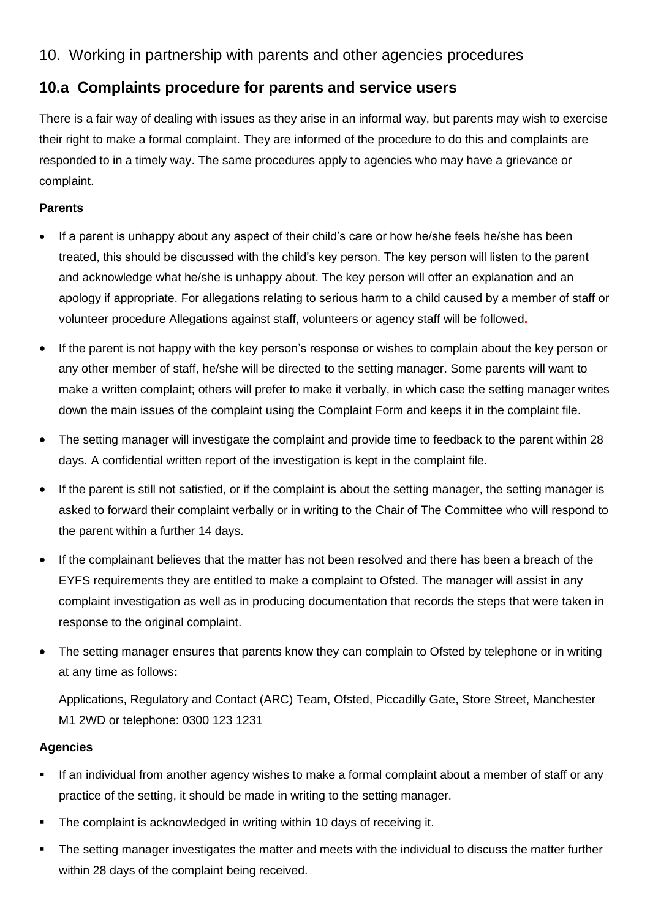## 10. Working in partnership with parents and other agencies procedures

# **10.a Complaints procedure for parents and service users**

There is a fair way of dealing with issues as they arise in an informal way, but parents may wish to exercise their right to make a formal complaint. They are informed of the procedure to do this and complaints are responded to in a timely way. The same procedures apply to agencies who may have a grievance or complaint.

### **Parents**

- If a parent is unhappy about any aspect of their child's care or how he/she feels he/she has been treated, this should be discussed with the child's key person. The key person will listen to the parent and acknowledge what he/she is unhappy about. The key person will offer an explanation and an apology if appropriate. For allegations relating to serious harm to a child caused by a member of staff or volunteer procedure Allegations against staff, volunteers or agency staff will be followed**.**
- If the parent is not happy with the key person's response or wishes to complain about the key person or any other member of staff, he/she will be directed to the setting manager. Some parents will want to make a written complaint; others will prefer to make it verbally, in which case the setting manager writes down the main issues of the complaint using the Complaint Form and keeps it in the complaint file.
- The setting manager will investigate the complaint and provide time to feedback to the parent within 28 days. A confidential written report of the investigation is kept in the complaint file.
- If the parent is still not satisfied, or if the complaint is about the setting manager, the setting manager is asked to forward their complaint verbally or in writing to the Chair of The Committee who will respond to the parent within a further 14 days.
- If the complainant believes that the matter has not been resolved and there has been a breach of the EYFS requirements they are entitled to make a complaint to Ofsted. The manager will assist in any complaint investigation as well as in producing documentation that records the steps that were taken in response to the original complaint.
- The setting manager ensures that parents know they can complain to Ofsted by telephone or in writing at any time as follows**:**

Applications, Regulatory and Contact (ARC) Team, Ofsted, Piccadilly Gate, Store Street, Manchester M1 2WD or telephone: 0300 123 1231

## **Agencies**

- If an individual from another agency wishes to make a formal complaint about a member of staff or any practice of the setting, it should be made in writing to the setting manager.
- The complaint is acknowledged in writing within 10 days of receiving it.
- The setting manager investigates the matter and meets with the individual to discuss the matter further within 28 days of the complaint being received.